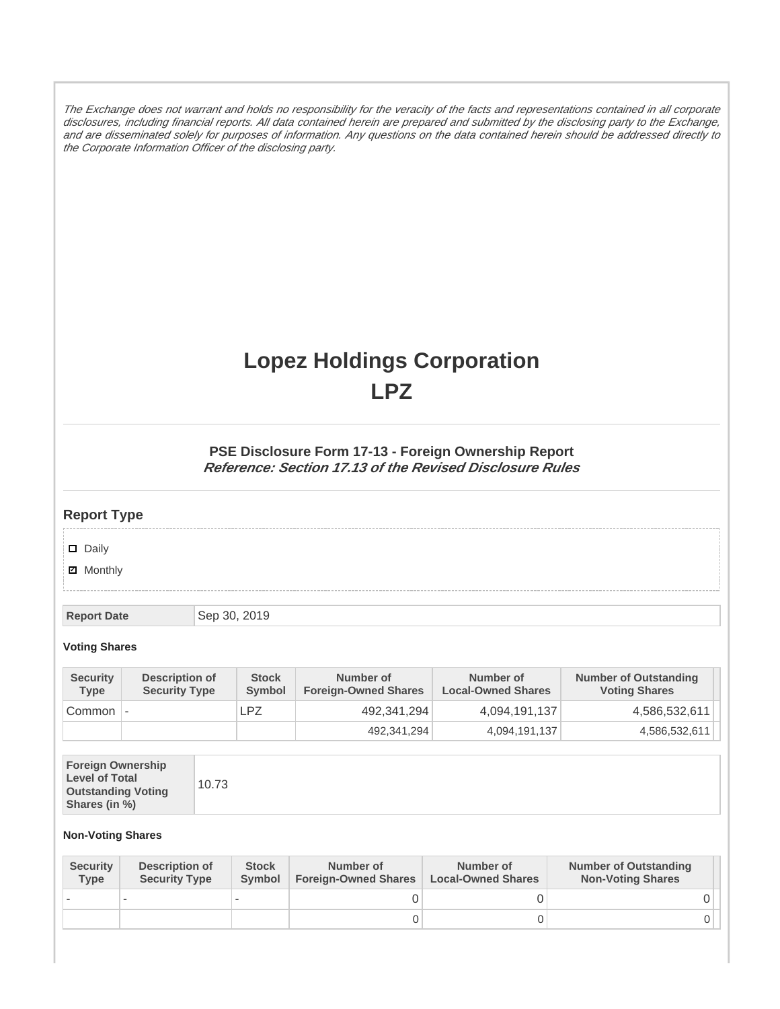The Exchange does not warrant and holds no responsibility for the veracity of the facts and representations contained in all corporate disclosures, including financial reports. All data contained herein are prepared and submitted by the disclosing party to the Exchange, and are disseminated solely for purposes of information. Any questions on the data contained herein should be addressed directly to the Corporate Information Officer of the disclosing party.

# **Lopez Holdings Corporation LPZ**

### **PSE Disclosure Form 17-13 - Foreign Ownership Report Reference: Section 17.13 of the Revised Disclosure Rules**

## **Report Type**

Daily

**Ø** Monthly

**Report Date** Sep 30, 2019

#### **Voting Shares**

| <b>Security</b><br><b>Type</b> | Description of<br><b>Security Type</b> | <b>Stock</b><br>Symbol | Number of<br><b>Foreign-Owned Shares</b> | Number of<br><b>Local-Owned Shares</b> | <b>Number of Outstanding</b><br><b>Voting Shares</b> |
|--------------------------------|----------------------------------------|------------------------|------------------------------------------|----------------------------------------|------------------------------------------------------|
| Common                         |                                        | LPZ                    | 492,341,294                              | 4,094,191,137                          | 4,586,532,611                                        |
|                                |                                        |                        | 492,341,294                              | 4,094,191,137                          | 4,586,532,611                                        |

| <b>Foreign Ownership</b><br><b>Level of Total</b><br><b>Outstanding Voting</b><br>Shares (in %) |
|-------------------------------------------------------------------------------------------------|
|-------------------------------------------------------------------------------------------------|

#### **Non-Voting Shares**

| <b>Security</b><br><b>Type</b> | <b>Description of</b><br><b>Security Type</b> | <b>Stock</b><br>Symbol | Number of<br><b>Foreign-Owned Shares</b> | Number of<br><b>Local-Owned Shares</b> | <b>Number of Outstanding</b><br><b>Non-Voting Shares</b> |
|--------------------------------|-----------------------------------------------|------------------------|------------------------------------------|----------------------------------------|----------------------------------------------------------|
|                                |                                               |                        |                                          |                                        |                                                          |
|                                |                                               |                        |                                          |                                        |                                                          |